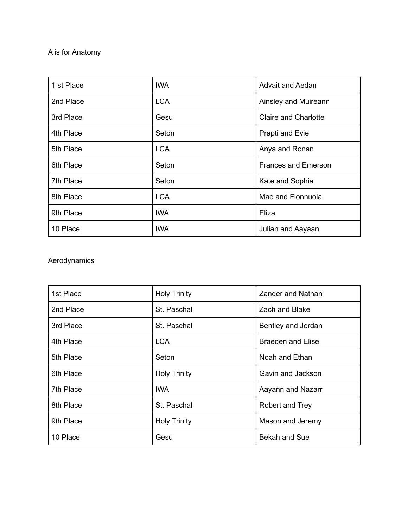### A is for Anatomy

| 1 st Place | <b>IWA</b> | <b>Advait and Aedan</b>     |
|------------|------------|-----------------------------|
| 2nd Place  | <b>LCA</b> | Ainsley and Muireann        |
| 3rd Place  | Gesu       | <b>Claire and Charlotte</b> |
| 4th Place  | Seton      | Prapti and Evie             |
| 5th Place  | <b>LCA</b> | Anya and Ronan              |
| 6th Place  | Seton      | <b>Frances and Emerson</b>  |
| 7th Place  | Seton      | Kate and Sophia             |
| 8th Place  | <b>LCA</b> | Mae and Fionnuola           |
| 9th Place  | <b>IWA</b> | Eliza                       |
| 10 Place   | <b>IWA</b> | Julian and Aayaan           |

#### Aerodynamics

| 1st Place | <b>Holy Trinity</b> | Zander and Nathan        |
|-----------|---------------------|--------------------------|
| 2nd Place | St. Paschal         | Zach and Blake           |
| 3rd Place | St. Paschal         | Bentley and Jordan       |
| 4th Place | <b>LCA</b>          | <b>Braeden and Elise</b> |
| 5th Place | Seton               | Noah and Ethan           |
| 6th Place | <b>Holy Trinity</b> | Gavin and Jackson        |
| 7th Place | IWA                 | Aayann and Nazarr        |
| 8th Place | St. Paschal         | Robert and Trey          |
| 9th Place | <b>Holy Trinity</b> | Mason and Jeremy         |
| 10 Place  | Gesu                | <b>Bekah and Sue</b>     |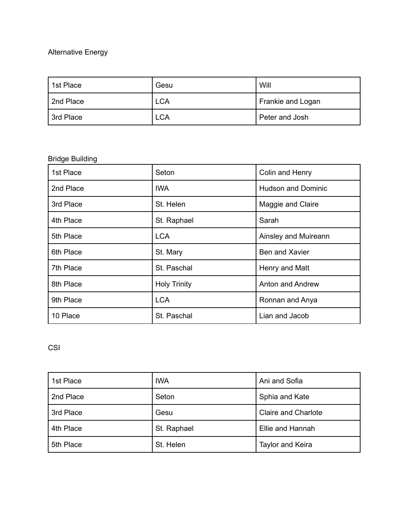### Alternative Energy

| 1st Place | Gesu       | Will              |
|-----------|------------|-------------------|
| 2nd Place | <b>LCA</b> | Frankie and Logan |
| 3rd Place | <b>LCA</b> | Peter and Josh    |

# Bridge Building

| 1st Place | Seton               | Colin and Henry           |
|-----------|---------------------|---------------------------|
| 2nd Place | <b>IWA</b>          | <b>Hudson and Dominic</b> |
| 3rd Place | St. Helen           | Maggie and Claire         |
| 4th Place | St. Raphael         | Sarah                     |
| 5th Place | <b>LCA</b>          | Ainsley and Muireann      |
| 6th Place | St. Mary            | Ben and Xavier            |
| 7th Place | St. Paschal         | Henry and Matt            |
| 8th Place | <b>Holy Trinity</b> | Anton and Andrew          |
| 9th Place | <b>LCA</b>          | Ronnan and Anya           |
| 10 Place  | St. Paschal         | Lian and Jacob            |

# CSI

| 1st Place | <b>IWA</b>  | Ani and Sofia              |
|-----------|-------------|----------------------------|
| 2nd Place | Seton       | Sphia and Kate             |
| 3rd Place | Gesu        | <b>Claire and Charlote</b> |
| 4th Place | St. Raphael | Ellie and Hannah           |
| 5th Place | St. Helen   | <b>Taylor and Keira</b>    |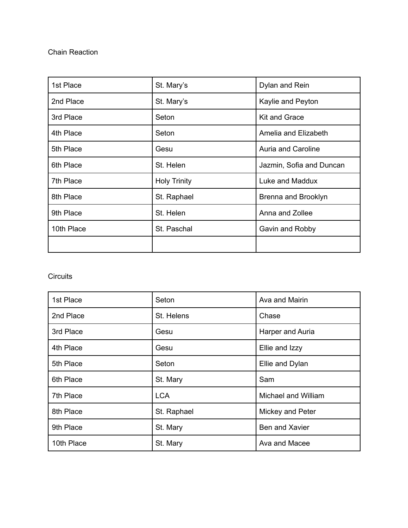#### Chain Reaction

| 1st Place  | St. Mary's          | Dylan and Rein           |
|------------|---------------------|--------------------------|
| 2nd Place  | St. Mary's          | Kaylie and Peyton        |
| 3rd Place  | Seton               | Kit and Grace            |
| 4th Place  | Seton               | Amelia and Elizabeth     |
| 5th Place  | Gesu                | Auria and Caroline       |
| 6th Place  | St. Helen           | Jazmin, Sofia and Duncan |
| 7th Place  | <b>Holy Trinity</b> | Luke and Maddux          |
| 8th Place  | St. Raphael         | Brenna and Brooklyn      |
| 9th Place  | St. Helen           | Anna and Zollee          |
| 10th Place | St. Paschal         | Gavin and Robby          |
|            |                     |                          |

### **Circuits**

| 1st Place  | Seton       | Ava and Mairin      |
|------------|-------------|---------------------|
| 2nd Place  | St. Helens  | Chase               |
| 3rd Place  | Gesu        | Harper and Auria    |
| 4th Place  | Gesu        | Ellie and Izzy      |
| 5th Place  | Seton       | Ellie and Dylan     |
| 6th Place  | St. Mary    | Sam                 |
| 7th Place  | <b>LCA</b>  | Michael and William |
| 8th Place  | St. Raphael | Mickey and Peter    |
| 9th Place  | St. Mary    | Ben and Xavier      |
| 10th Place | St. Mary    | Ava and Macee       |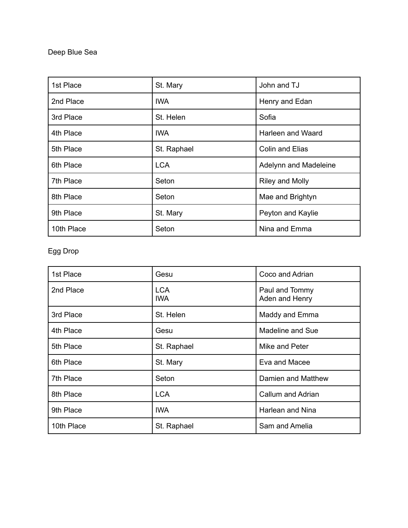Deep Blue Sea

| 1st Place  | St. Mary    | John and TJ              |
|------------|-------------|--------------------------|
| 2nd Place  | IWA.        | Henry and Edan           |
| 3rd Place  | St. Helen   | Sofia                    |
| 4th Place  | <b>IWA</b>  | <b>Harleen and Waard</b> |
| 5th Place  | St. Raphael | <b>Colin and Elias</b>   |
| 6th Place  | <b>LCA</b>  | Adelynn and Madeleine    |
| 7th Place  | Seton       | <b>Riley and Molly</b>   |
| 8th Place  | Seton       | Mae and Brightyn         |
| 9th Place  | St. Mary    | Peyton and Kaylie        |
| 10th Place | Seton       | Nina and Emma            |

# Egg Drop

| 1st Place  | Gesu                     | Coco and Adrian                  |
|------------|--------------------------|----------------------------------|
| 2nd Place  | <b>LCA</b><br><b>IWA</b> | Paul and Tommy<br>Aden and Henry |
| 3rd Place  | St. Helen                | Maddy and Emma                   |
| 4th Place  | Gesu                     | <b>Madeline and Sue</b>          |
| 5th Place  | St. Raphael              | Mike and Peter                   |
| 6th Place  | St. Mary                 | Eva and Macee                    |
| 7th Place  | Seton                    | Damien and Matthew               |
| 8th Place  | <b>LCA</b>               | Callum and Adrian                |
| 9th Place  | IWA                      | Harlean and Nina                 |
| 10th Place | St. Raphael              | Sam and Amelia                   |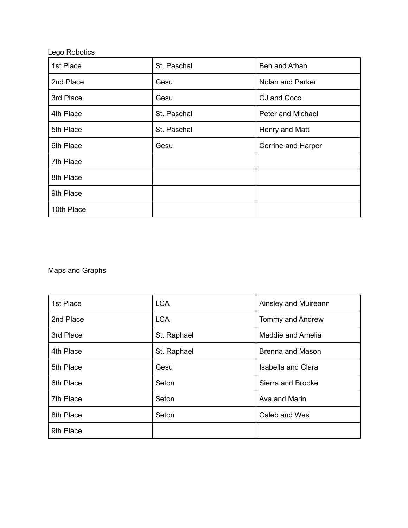| Lego Robotics |             |                    |
|---------------|-------------|--------------------|
| 1st Place     | St. Paschal | Ben and Athan      |
| 2nd Place     | Gesu        | Nolan and Parker   |
| 3rd Place     | Gesu        | CJ and Coco        |
| 4th Place     | St. Paschal | Peter and Michael  |
| 5th Place     | St. Paschal | Henry and Matt     |
| 6th Place     | Gesu        | Corrine and Harper |
| 7th Place     |             |                    |
| 8th Place     |             |                    |
| 9th Place     |             |                    |
| 10th Place    |             |                    |

Maps and Graphs

| 1st Place | <b>LCA</b>  | Ainsley and Muireann      |
|-----------|-------------|---------------------------|
| 2nd Place | <b>LCA</b>  | Tommy and Andrew          |
| 3rd Place | St. Raphael | Maddie and Amelia         |
| 4th Place | St. Raphael | <b>Brenna and Mason</b>   |
| 5th Place | Gesu        | <b>Isabella and Clara</b> |
| 6th Place | Seton       | Sierra and Brooke         |
| 7th Place | Seton       | Ava and Marin             |
| 8th Place | Seton       | Caleb and Wes             |
| 9th Place |             |                           |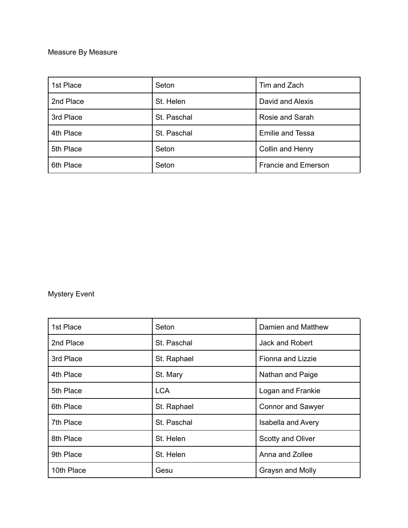### Measure By Measure

| 1st Place | Seton       | Tim and Zach               |
|-----------|-------------|----------------------------|
| 2nd Place | St. Helen   | David and Alexis           |
| 3rd Place | St. Paschal | Rosie and Sarah            |
| 4th Place | St. Paschal | <b>Emilie and Tessa</b>    |
| 5th Place | Seton       | Collin and Henry           |
| 6th Place | Seton       | <b>Francie and Emerson</b> |

# Mystery Event

| 1st Place  | Seton       | Damien and Matthew        |
|------------|-------------|---------------------------|
| 2nd Place  | St. Paschal | Jack and Robert           |
| 3rd Place  | St. Raphael | <b>Fionna and Lizzie</b>  |
| 4th Place  | St. Mary    | Nathan and Paige          |
| 5th Place  | LCA         | Logan and Frankie         |
| 6th Place  | St. Raphael | <b>Connor and Sawyer</b>  |
| 7th Place  | St. Paschal | <b>Isabella and Avery</b> |
| 8th Place  | St. Helen   | Scotty and Oliver         |
| 9th Place  | St. Helen   | Anna and Zollee           |
| 10th Place | Gesu        | Graysn and Molly          |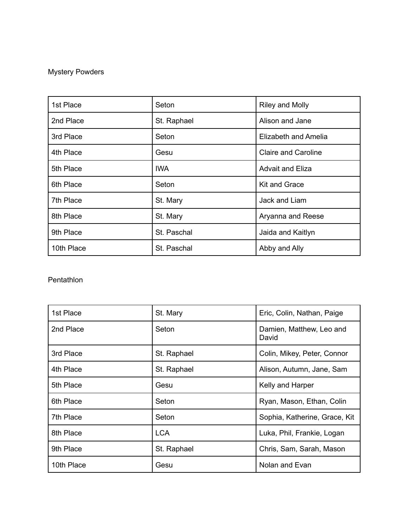# Mystery Powders

| 1st Place  | Seton       | Riley and Molly            |
|------------|-------------|----------------------------|
| 2nd Place  | St. Raphael | Alison and Jane            |
| 3rd Place  | Seton       | Elizabeth and Amelia       |
| 4th Place  | Gesu        | <b>Claire and Caroline</b> |
| 5th Place  | IWA.        | <b>Advait and Eliza</b>    |
| 6th Place  | Seton       | <b>Kit and Grace</b>       |
| 7th Place  | St. Mary    | Jack and Liam              |
| 8th Place  | St. Mary    | Aryanna and Reese          |
| 9th Place  | St. Paschal | Jaida and Kaitlyn          |
| 10th Place | St. Paschal | Abby and Ally              |

### Pentathlon

| 1st Place  | St. Mary    | Eric, Colin, Nathan, Paige        |
|------------|-------------|-----------------------------------|
| 2nd Place  | Seton       | Damien, Matthew, Leo and<br>David |
| 3rd Place  | St. Raphael | Colin, Mikey, Peter, Connor       |
| 4th Place  | St. Raphael | Alison, Autumn, Jane, Sam         |
| 5th Place  | Gesu        | Kelly and Harper                  |
| 6th Place  | Seton       | Ryan, Mason, Ethan, Colin         |
| 7th Place  | Seton       | Sophia, Katherine, Grace, Kit     |
| 8th Place  | <b>LCA</b>  | Luka, Phil, Frankie, Logan        |
| 9th Place  | St. Raphael | Chris, Sam, Sarah, Mason          |
| 10th Place | Gesu        | Nolan and Evan                    |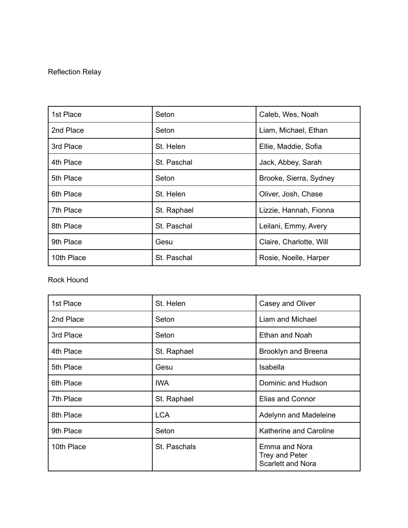### Reflection Relay

| 1st Place  | Seton       | Caleb, Wes, Noah        |
|------------|-------------|-------------------------|
| 2nd Place  | Seton       | Liam, Michael, Ethan    |
| 3rd Place  | St. Helen   | Ellie, Maddie, Sofia    |
| 4th Place  | St. Paschal | Jack, Abbey, Sarah      |
| 5th Place  | Seton       | Brooke, Sierra, Sydney  |
| 6th Place  | St. Helen   | Oliver, Josh, Chase     |
| 7th Place  | St. Raphael | Lizzie, Hannah, Fionna  |
| 8th Place  | St. Paschal | Leilani, Emmy, Avery    |
| 9th Place  | Gesu        | Claire, Charlotte, Will |
| 10th Place | St. Paschal | Rosie, Noelle, Harper   |

Rock Hound

| 1st Place  | St. Helen    | Casey and Oliver                                            |
|------------|--------------|-------------------------------------------------------------|
| 2nd Place  | Seton        | Liam and Michael                                            |
| 3rd Place  | Seton        | <b>Ethan and Noah</b>                                       |
| 4th Place  | St. Raphael  | Brooklyn and Breena                                         |
| 5th Place  | Gesu         | Isabella                                                    |
| 6th Place  | IWA.         | Dominic and Hudson                                          |
| 7th Place  | St. Raphael  | <b>Elias and Connor</b>                                     |
| 8th Place  | <b>LCA</b>   | Adelynn and Madeleine                                       |
| 9th Place  | Seton        | Katherine and Caroline                                      |
| 10th Place | St. Paschals | Emma and Nora<br>Trey and Peter<br><b>Scarlett and Nora</b> |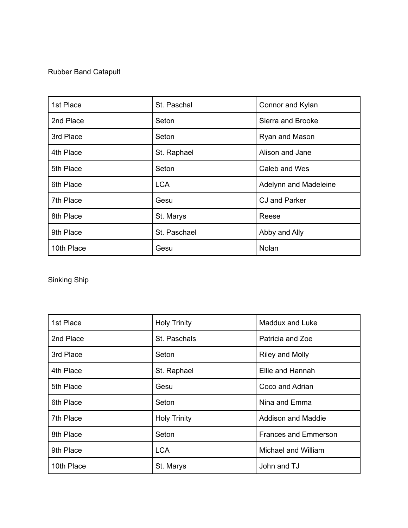### Rubber Band Catapult

| 1st Place  | St. Paschal  | Connor and Kylan      |
|------------|--------------|-----------------------|
| 2nd Place  | Seton        | Sierra and Brooke     |
| 3rd Place  | Seton        | Ryan and Mason        |
| 4th Place  | St. Raphael  | Alison and Jane       |
| 5th Place  | Seton        | Caleb and Wes         |
| 6th Place  | <b>LCA</b>   | Adelynn and Madeleine |
| 7th Place  | Gesu         | CJ and Parker         |
| 8th Place  | St. Marys    | Reese                 |
| 9th Place  | St. Paschael | Abby and Ally         |
| 10th Place | Gesu         | <b>Nolan</b>          |

Sinking Ship

| 1st Place  | <b>Holy Trinity</b> | <b>Maddux and Luke</b>    |
|------------|---------------------|---------------------------|
| 2nd Place  | St. Paschals        | Patricia and Zoe          |
| 3rd Place  | Seton               | <b>Riley and Molly</b>    |
| 4th Place  | St. Raphael         | Ellie and Hannah          |
| 5th Place  | Gesu                | Coco and Adrian           |
| 6th Place  | Seton               | Nina and Emma             |
| 7th Place  | <b>Holy Trinity</b> | <b>Addison and Maddie</b> |
| 8th Place  | Seton               | Frances and Emmerson      |
| 9th Place  | <b>LCA</b>          | Michael and William       |
| 10th Place | St. Marys           | John and TJ               |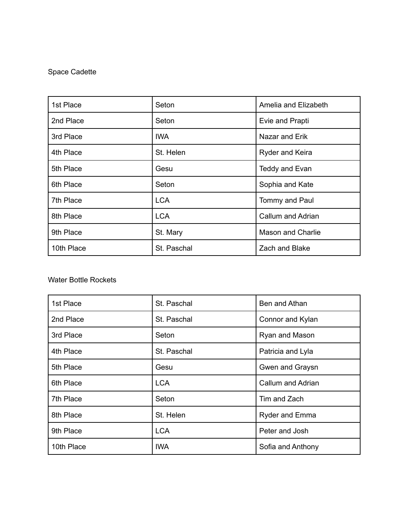### Space Cadette

| 1st Place  | Seton       | Amelia and Elizabeth     |
|------------|-------------|--------------------------|
| 2nd Place  | Seton       | Evie and Prapti          |
| 3rd Place  | IWA         | Nazar and Erik           |
| 4th Place  | St. Helen   | Ryder and Keira          |
| 5th Place  | Gesu        | Teddy and Evan           |
| 6th Place  | Seton       | Sophia and Kate          |
| 7th Place  | <b>LCA</b>  | Tommy and Paul           |
| 8th Place  | <b>LCA</b>  | Callum and Adrian        |
| 9th Place  | St. Mary    | <b>Mason and Charlie</b> |
| 10th Place | St. Paschal | Zach and Blake           |

#### Water Bottle Rockets

| 1st Place  | St. Paschal | Ben and Athan     |
|------------|-------------|-------------------|
| 2nd Place  | St. Paschal | Connor and Kylan  |
| 3rd Place  | Seton       | Ryan and Mason    |
| 4th Place  | St. Paschal | Patricia and Lyla |
| 5th Place  | Gesu        | Gwen and Graysn   |
| 6th Place  | <b>LCA</b>  | Callum and Adrian |
| 7th Place  | Seton       | Tim and Zach      |
| 8th Place  | St. Helen   | Ryder and Emma    |
| 9th Place  | <b>LCA</b>  | Peter and Josh    |
| 10th Place | <b>IWA</b>  | Sofia and Anthony |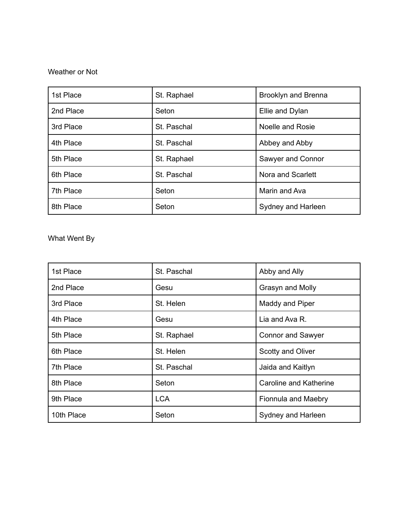#### Weather or Not

| 1st Place | St. Raphael | Brooklyn and Brenna |
|-----------|-------------|---------------------|
| 2nd Place | Seton       | Ellie and Dylan     |
| 3rd Place | St. Paschal | Noelle and Rosie    |
| 4th Place | St. Paschal | Abbey and Abby      |
| 5th Place | St. Raphael | Sawyer and Connor   |
| 6th Place | St. Paschal | Nora and Scarlett   |
| 7th Place | Seton       | Marin and Ava       |
| 8th Place | Seton       | Sydney and Harleen  |

What Went By

| 1st Place  | St. Paschal | Abby and Ally                 |
|------------|-------------|-------------------------------|
| 2nd Place  | Gesu        | Grasyn and Molly              |
| 3rd Place  | St. Helen   | Maddy and Piper               |
| 4th Place  | Gesu        | Lia and Ava R.                |
| 5th Place  | St. Raphael | <b>Connor and Sawyer</b>      |
| 6th Place  | St. Helen   | <b>Scotty and Oliver</b>      |
| 7th Place  | St. Paschal | Jaida and Kaitlyn             |
| 8th Place  | Seton       | <b>Caroline and Katherine</b> |
| 9th Place  | <b>LCA</b>  | Fionnula and Maebry           |
| 10th Place | Seton       | Sydney and Harleen            |